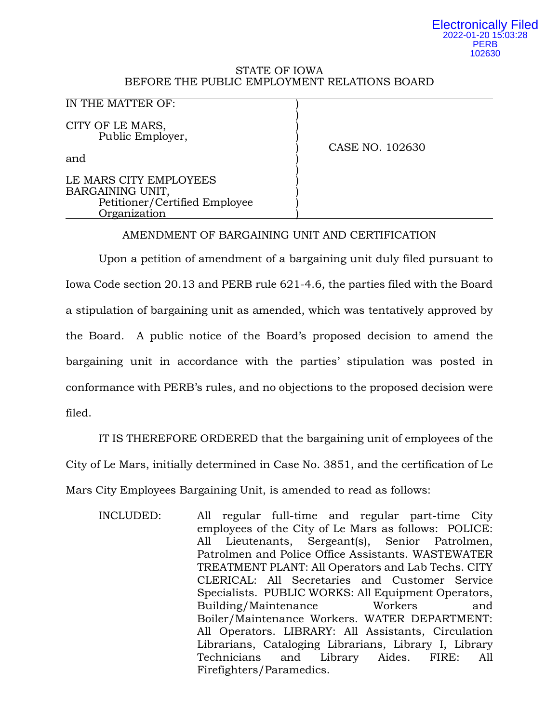### Electronically Filed 2022-01-20 15:03:28 **PERB** 102630

## STATE OF IOWA BEFORE THE PUBLIC EMPLOYMENT RELATIONS BOARD

)

)

### IN THE MATTER OF:

CITY OF LE MARS, Public Employer, )

and )

LE MARS CITY EMPLOYEES BARGAINING UNIT, Petitioner/Certified Employee ) Organization )

) CASE NO. 102630

# AMENDMENT OF BARGAINING UNIT AND CERTIFICATION

Upon a petition of amendment of a bargaining unit duly filed pursuant to Iowa Code section 20.13 and PERB rule 621-4.6, the parties filed with the Board a stipulation of bargaining unit as amended, which was tentatively approved by the Board. A public notice of the Board's proposed decision to amend the bargaining unit in accordance with the parties' stipulation was posted in conformance with PERB's rules, and no objections to the proposed decision were filed.

IT IS THEREFORE ORDERED that the bargaining unit of employees of the City of Le Mars, initially determined in Case No. 3851, and the certification of Le Mars City Employees Bargaining Unit, is amended to read as follows:

INCLUDED: All regular full-time and regular part-time City employees of the City of Le Mars as follows: POLICE: All Lieutenants, Sergeant(s), Senior Patrolmen, Patrolmen and Police Office Assistants. WASTEWATER TREATMENT PLANT: All Operators and Lab Techs. CITY CLERICAL: All Secretaries and Customer Service Specialists. PUBLIC WORKS: All Equipment Operators, Building/Maintenance Workers and Boiler/Maintenance Workers. WATER DEPARTMENT: All Operators. LIBRARY: All Assistants, Circulation Librarians, Cataloging Librarians, Library I, Library Technicians and Library Aides. FIRE: All Firefighters/Paramedics.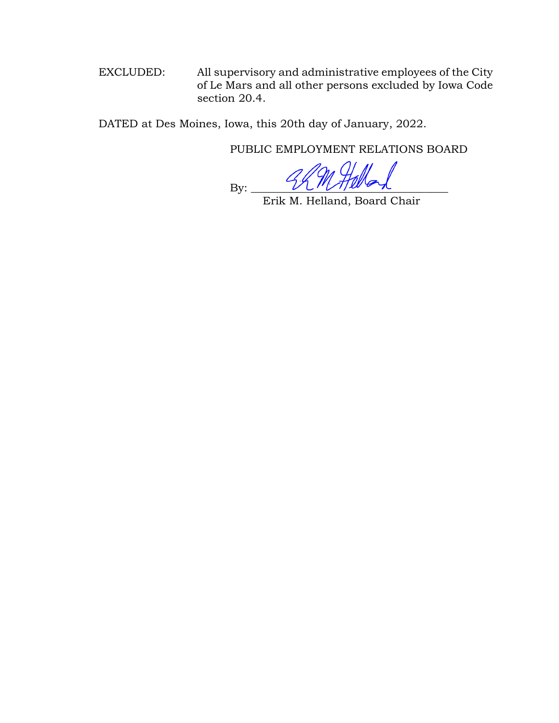EXCLUDED: All supervisory and administrative employees of the City of Le Mars and all other persons excluded by Iowa Code section 20.4.

DATED at Des Moines, Iowa, this 20th day of January, 2022.

PUBLIC EMPLOYMENT RELATIONS BOARD

 $\mathrm{By:}$ 

Erik M. Helland, Board Chair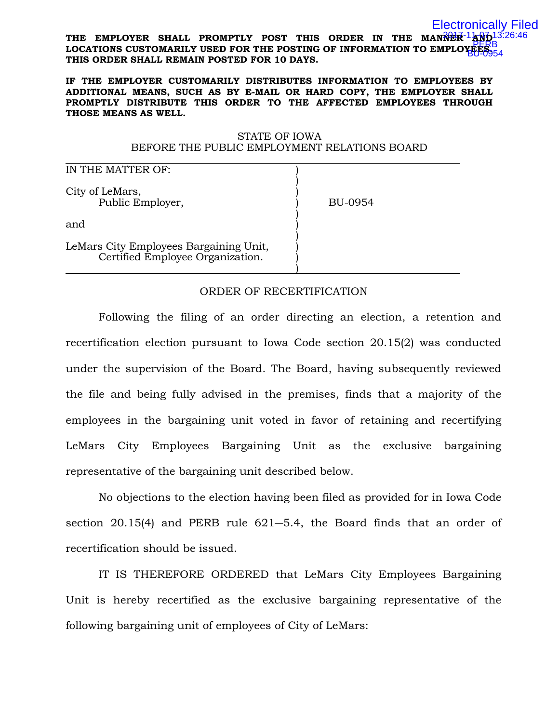#### THE EMPLOYER SHALL PROMPTLY POST THIS ORDER IN THE MANNER 1AND 13:26:46 **LOCATIONS CUSTOMARILY USED FOR THE POSTING OF INFORMATION TO EMPLOYEES.**  PERB **THIS ORDER SHALL REMAIN POSTED FOR 10 DAYS.** Electronically Filed BU-0954

### **IF THE EMPLOYER CUSTOMARILY DISTRIBUTES INFORMATION TO EMPLOYEES BY ADDITIONAL MEANS, SUCH AS BY E-MAIL OR HARD COPY, THE EMPLOYER SHALL PROMPTLY DISTRIBUTE THIS ORDER TO THE AFFECTED EMPLOYEES THROUGH THOSE MEANS AS WELL.**

## STATE OF IOWA BEFORE THE PUBLIC EMPLOYMENT RELATIONS BOARD

| IN THE MATTER OF:                                                          |         |
|----------------------------------------------------------------------------|---------|
| City of LeMars,<br>Public Employer,                                        | BU-0954 |
| and                                                                        |         |
| LeMars City Employees Bargaining Unit,<br>Certified Employee Organization. |         |

# ORDER OF RECERTIFICATION

Following the filing of an order directing an election, a retention and recertification election pursuant to Iowa Code section 20.15(2) was conducted under the supervision of the Board. The Board, having subsequently reviewed the file and being fully advised in the premises, finds that a majority of the employees in the bargaining unit voted in favor of retaining and recertifying LeMars City Employees Bargaining Unit as the exclusive bargaining representative of the bargaining unit described below.

No objections to the election having been filed as provided for in Iowa Code section 20.15(4) and PERB rule 621―5.4, the Board finds that an order of recertification should be issued.

IT IS THEREFORE ORDERED that LeMars City Employees Bargaining Unit is hereby recertified as the exclusive bargaining representative of the following bargaining unit of employees of City of LeMars: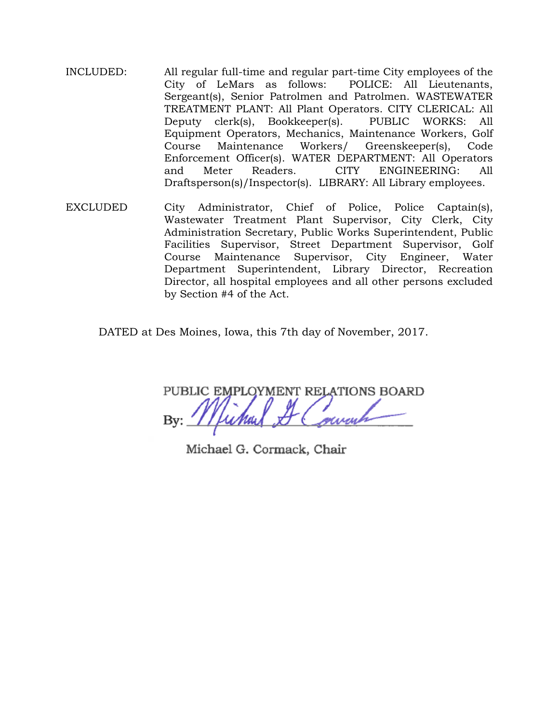- INCLUDED: All regular full-time and regular part-time City employees of the City of LeMars as follows: POLICE: All Lieutenants, Sergeant(s), Senior Patrolmen and Patrolmen. WASTEWATER TREATMENT PLANT: All Plant Operators. CITY CLERICAL: All Deputy clerk(s), Bookkeeper(s). PUBLIC WORKS: All Equipment Operators, Mechanics, Maintenance Workers, Golf Maintenance Workers/ Greenskeeper(s), Code Enforcement Officer(s). WATER DEPARTMENT: All Operators and Meter Readers. CITY ENGINEERING: All Draftsperson(s)/Inspector(s). LIBRARY: All Library employees.
- EXCLUDED City Administrator, Chief of Police, Police Captain(s), Wastewater Treatment Plant Supervisor, City Clerk, City Administration Secretary, Public Works Superintendent, Public Facilities Supervisor, Street Department Supervisor, Golf Course Maintenance Supervisor, City Engineer, Water Department Superintendent, Library Director, Recreation Director, all hospital employees and all other persons excluded by Section #4 of the Act.

DATED at Des Moines, Iowa, this 7th day of November, 2017.

PUBLIC EMPLOYMENT RELATIONS BOARD

Michael G. Cormack, Chair